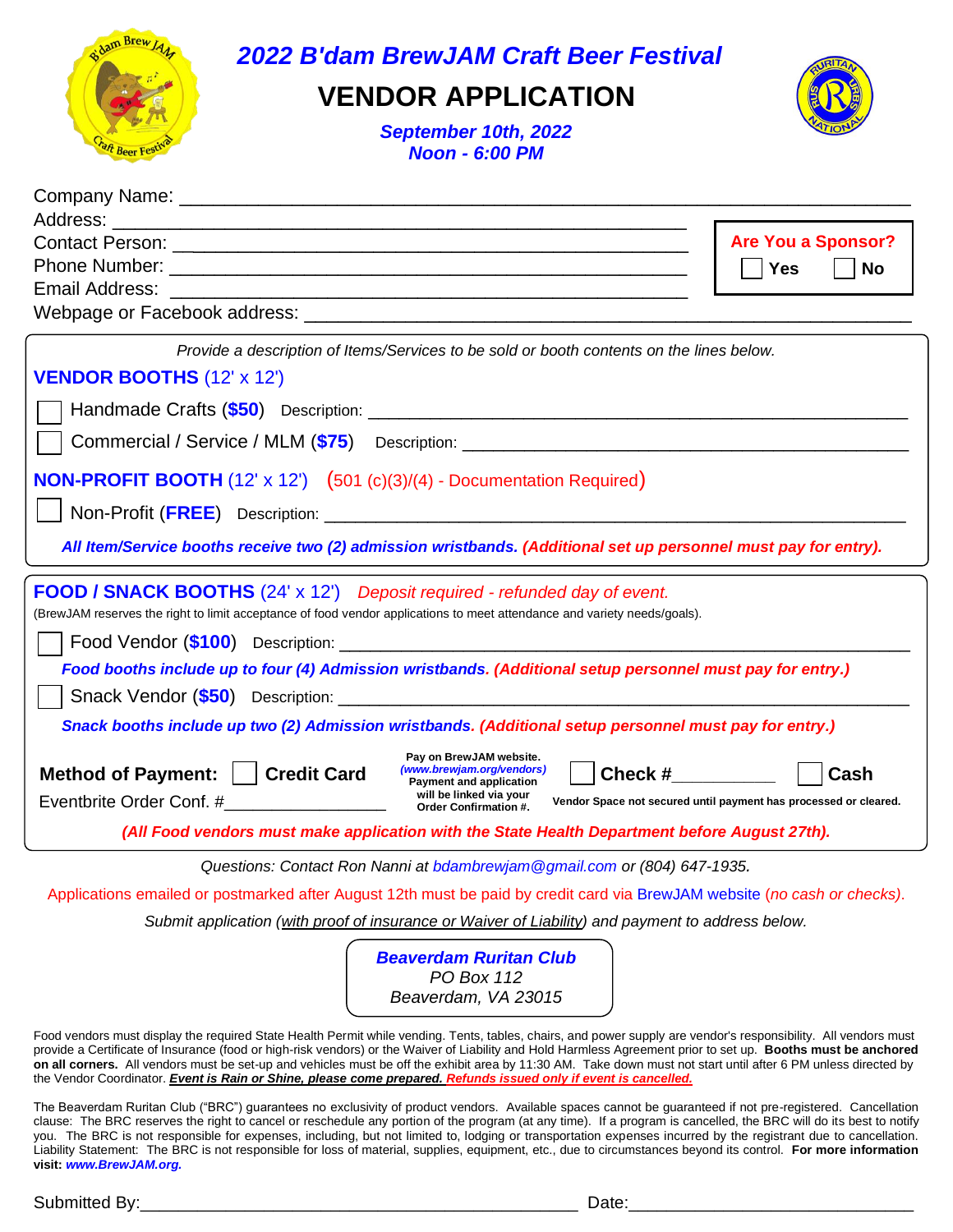

*2022 B'dam BrewJAM Craft Beer Festival*

## **VENDOR APPLICATION**



*September 10th, 2022 Noon - 6:00 PM*

|                                                                                                                                                                                                                                       | <b>Are You a Sponsor?</b>                                                |  |
|---------------------------------------------------------------------------------------------------------------------------------------------------------------------------------------------------------------------------------------|--------------------------------------------------------------------------|--|
|                                                                                                                                                                                                                                       | <b>Yes</b><br><b>No</b>                                                  |  |
|                                                                                                                                                                                                                                       |                                                                          |  |
|                                                                                                                                                                                                                                       |                                                                          |  |
| Provide a description of Items/Services to be sold or booth contents on the lines below.                                                                                                                                              |                                                                          |  |
| <b>VENDOR BOOTHS (12' x 12')</b>                                                                                                                                                                                                      |                                                                          |  |
|                                                                                                                                                                                                                                       |                                                                          |  |
| Commercial / Service / MLM (\$75) Description:                                                                                                                                                                                        |                                                                          |  |
| <b>NON-PROFIT BOOTH</b> (12' x 12') (501 (c)(3)/(4) - Documentation Required)                                                                                                                                                         |                                                                          |  |
| Non-Profit (FREE) Description:                                                                                                                                                                                                        |                                                                          |  |
| All Item/Service booths receive two (2) admission wristbands. (Additional set up personnel must pay for entry).                                                                                                                       |                                                                          |  |
| <b>FOOD / SNACK BOOTHS</b> (24' x 12') Deposit required - refunded day of event.                                                                                                                                                      |                                                                          |  |
| (BrewJAM reserves the right to limit acceptance of food vendor applications to meet attendance and variety needs/goals).                                                                                                              |                                                                          |  |
|                                                                                                                                                                                                                                       |                                                                          |  |
| Food booths include up to four (4) Admission wristbands. (Additional setup personnel must pay for entry.)                                                                                                                             |                                                                          |  |
|                                                                                                                                                                                                                                       |                                                                          |  |
| Snack booths include up two (2) Admission wristbands. (Additional setup personnel must pay for entry.)                                                                                                                                |                                                                          |  |
| Pay on BrewJAM website.<br>(www.brewjam.org/vendors)<br>Check $#$<br>Method of Payment:     Credit Card<br>Payment and application<br>will be linked via your<br>Eventbrite Order Conf. #___________________<br>Order Confirmation #. | Cash<br>Vendor Space not secured until payment has processed or cleared. |  |
| (All Food vendors must make application with the State Health Department before August 27th).                                                                                                                                         |                                                                          |  |
| Questions: Contact Ron Nanni at bdambrewjam@gmail.com or (804) 647-1935.                                                                                                                                                              |                                                                          |  |

Applications emailed or postmarked after August 12th must be paid by credit card via BrewJAM website (*no cash or checks)*.

*Submit application (with proof of insurance or Waiver of Liability) and payment to address below.*

*Beaverdam Ruritan Club PO Box 112 Beaverdam, VA 23015*

Food vendors must display the required State Health Permit while vending. Tents, tables, chairs, and power supply are vendor's responsibility. All vendors must provide a Certificate of Insurance (food or high-risk vendors) or the Waiver of Liability and Hold Harmless Agreement prior to set up. **Booths must be anchored on all corners.** All vendors must be set-up and vehicles must be off the exhibit area by 11:30 AM. Take down must not start until after 6 PM unless directed by the Vendor Coordinator. *Event is Rain or Shine, please come prepared. Refunds issued only if event is cancelled.*

The Beaverdam Ruritan Club ("BRC") guarantees no exclusivity of product vendors. Available spaces cannot be guaranteed if not pre-registered. Cancellation clause: The BRC reserves the right to cancel or reschedule any portion of the program (at any time). If a program is cancelled, the BRC will do its best to notify you. The BRC is not responsible for expenses, including, but not limited to, lodging or transportation expenses incurred by the registrant due to cancellation. Liability Statement: The BRC is not responsible for loss of material, supplies, equipment, etc., due to circumstances beyond its control. **For more information visit:** *www.BrewJAM.org.*

Submitted By:\_\_\_\_\_\_\_\_\_\_\_\_\_\_\_\_\_\_\_\_\_\_\_\_\_\_\_\_\_\_\_\_\_\_\_\_\_\_\_\_\_\_\_\_\_\_ Date:\_\_\_\_\_\_\_\_\_\_\_\_\_\_\_\_\_\_\_\_\_\_\_\_\_\_\_\_\_\_